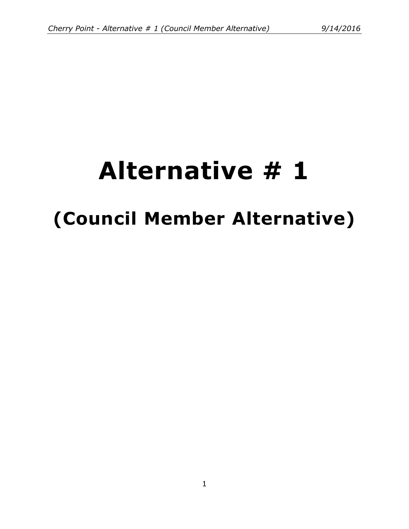# **Alternative # 1 (Council Member Alternative)**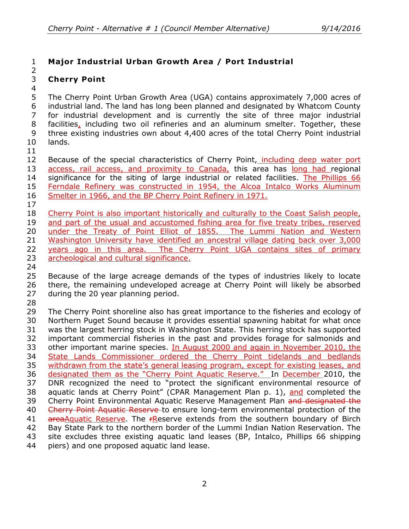## **Major Industrial Urban Growth Area / Port Industrial**

#### **Cherry Point**

# 

 The Cherry Point Urban Growth Area (UGA) contains approximately 7,000 acres of industrial land. The land has long been planned and designated by Whatcom County for industrial development and is currently the site of three major industrial 8 facilities, including two oil refineries and an aluminum smelter. Together, these three existing industries own about 4,400 acres of the total Cherry Point industrial lands.

12 Because of the special characteristics of Cherry Point, including deep water port 13 access, rail access, and proximity to Canada, this area has long had regional significance for the siting of large industrial or related facilities. The Phillips 66 Ferndale Refinery was constructed in 1954, the Alcoa Intalco Works Aluminum Smelter in 1966, and the BP Cherry Point Refinery in 1971.

 Cherry Point is also important historically and culturally to the Coast Salish people, 19 and part of the usual and accustomed fishing area for five treaty tribes, reserved 20 under the Treaty of Point Elliot of 1855. The Lummi Nation and Western Washington University have identified an ancestral village dating back over 3,000 years ago in this area. The Cherry Point UGA contains sites of primary 23 archeological and cultural significance.

 Because of the large acreage demands of the types of industries likely to locate there, the remaining undeveloped acreage at Cherry Point will likely be absorbed during the 20 year planning period.

 The Cherry Point shoreline also has great importance to the fisheries and ecology of Northern Puget Sound because it provides essential spawning habitat for what once was the largest herring stock in Washington State. This herring stock has supported important commercial fisheries in the past and provides forage for salmonids and 33 other important marine species. In August 2000 and again in November 2010, the 34 State Lands Commissioner ordered the Cherry Point tidelands and bedlands 35 withdrawn from the state's general leasing program, except for existing leases, and designated them as the "Cherry Point Aquatic Reserve." In December 2010, the DNR recognized the need to "protect the significant environmental resource of 38 aquatic lands at Cherry Point" (CPAR Management Plan p. 1), and completed the 39 Cherry Point Environmental Aquatic Reserve Management Plan and designated the 40 Cherry Point Aquatic Reserve to ensure long-term environmental protection of the 41 areaAquatic Reserve. The FReserve extends from the southern boundary of Birch Bay State Park to the northern border of the Lummi Indian Nation Reservation. The site excludes three existing aquatic land leases (BP, Intalco, Phillips 66 shipping piers) and one proposed aquatic land lease.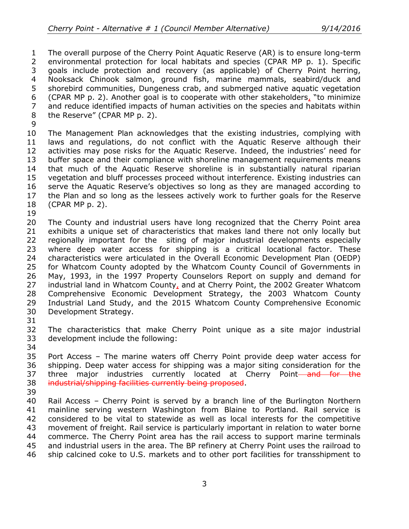The overall purpose of the Cherry Point Aquatic Reserve (AR) is to ensure long-term environmental protection for local habitats and species (CPAR MP p. 1). Specific goals include protection and recovery (as applicable) of Cherry Point herring, Nooksack Chinook salmon, ground fish, marine mammals, seabird/duck and shorebird communities, Dungeness crab, and submerged native aquatic vegetation (CPAR MP p. 2). Another goal is to cooperate with other stakeholders, "to minimize and reduce identified impacts of human activities on the species and habitats within the Reserve" (CPAR MP p. 2).

 The Management Plan acknowledges that the existing industries, complying with laws and regulations, do not conflict with the Aquatic Reserve although their activities may pose risks for the Aquatic Reserve. Indeed, the industries' need for buffer space and their compliance with shoreline management requirements means that much of the Aquatic Reserve shoreline is in substantially natural riparian vegetation and bluff processes proceed without interference. Existing industries can serve the Aquatic Reserve's objectives so long as they are managed according to the Plan and so long as the lessees actively work to further goals for the Reserve (CPAR MP p. 2).

 The County and industrial users have long recognized that the Cherry Point area exhibits a unique set of characteristics that makes land there not only locally but regionally important for the siting of major industrial developments especially where deep water access for shipping is a critical locational factor. These characteristics were articulated in the Overall Economic Development Plan (OEDP) for Whatcom County adopted by the Whatcom County Council of Governments in May, 1993, in the 1997 Property Counselors Report on supply and demand for industrial land in Whatcom County, and at Cherry Point, the 2002 Greater Whatcom Comprehensive Economic Development Strategy, the 2003 Whatcom County Industrial Land Study, and the 2015 Whatcom County Comprehensive Economic Development Strategy.

 The characteristics that make Cherry Point unique as a site major industrial development include the following:

 Port Access – The marine waters off Cherry Point provide deep water access for shipping. Deep water access for shipping was a major siting consideration for the 37 three major industries currently located at Cherry Point-and for the industrial/shipping facilities currently being proposed.

 Rail Access – Cherry Point is served by a branch line of the Burlington Northern mainline serving western Washington from Blaine to Portland. Rail service is considered to be vital to statewide as well as local interests for the competitive movement of freight. Rail service is particularly important in relation to water borne commerce. The Cherry Point area has the rail access to support marine terminals and industrial users in the area. The BP refinery at Cherry Point uses the railroad to ship calcined coke to U.S. markets and to other port facilities for transshipment to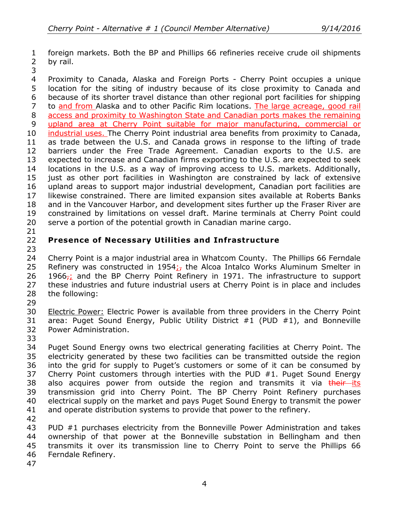foreign markets. Both the BP and Phillips 66 refineries receive crude oil shipments by rail.

 Proximity to Canada, Alaska and Foreign Ports - Cherry Point occupies a unique location for the siting of industry because of its close proximity to Canada and because of its shorter travel distance than other regional port facilities for shipping 7 to and from Alaska and to other Pacific Rim locations. The large acreage, good rail access and proximity to Washington State and Canadian ports makes the remaining upland area at Cherry Point suitable for major manufacturing, commercial or industrial uses. The Cherry Point industrial area benefits from proximity to Canada, as trade between the U.S. and Canada grows in response to the lifting of trade barriers under the Free Trade Agreement. Canadian exports to the U.S. are expected to increase and Canadian firms exporting to the U.S. are expected to seek locations in the U.S. as a way of improving access to U.S. markets. Additionally, just as other port facilities in Washington are constrained by lack of extensive upland areas to support major industrial development, Canadian port facilities are likewise constrained. There are limited expansion sites available at Roberts Banks and in the Vancouver Harbor, and development sites further up the Fraser River are constrained by limitations on vessel draft. Marine terminals at Cherry Point could serve a portion of the potential growth in Canadian marine cargo.

### **Presence of Necessary Utilities and Infrastructure**

 Cherry Point is a major industrial area in Whatcom County. The Phillips 66 Ferndale 25 Refinery was constructed in 1954 $\frac{1}{27}$  the Alcoa Intalco Works Aluminum Smelter in 26 1966 $<sub>7</sub>$ ; and the BP Cherry Point Refinery in 1971. The infrastructure to support</sub> 27 these industries and future industrial users at Cherry Point is in place and includes the following:

 Electric Power: Electric Power is available from three providers in the Cherry Point area: Puget Sound Energy, Public Utility District #1 (PUD #1), and Bonneville Power Administration.

 Puget Sound Energy owns two electrical generating facilities at Cherry Point. The electricity generated by these two facilities can be transmitted outside the region into the grid for supply to Puget's customers or some of it can be consumed by Cherry Point customers through interties with the PUD #1. Puget Sound Energy 38 also acquires power from outside the region and transmits it via their-its transmission grid into Cherry Point. The BP Cherry Point Refinery purchases electrical supply on the market and pays Puget Sound Energy to transmit the power and operate distribution systems to provide that power to the refinery.

 PUD #1 purchases electricity from the Bonneville Power Administration and takes ownership of that power at the Bonneville substation in Bellingham and then transmits it over its transmission line to Cherry Point to serve the Phillips 66 Ferndale Refinery.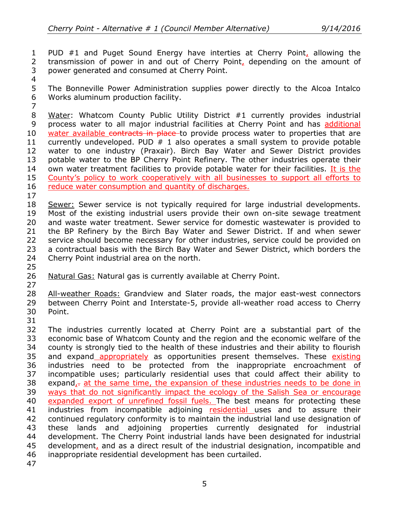PUD #1 and Puget Sound Energy have interties at Cherry Point, allowing the 2 transmission of power in and out of Cherry Point, depending on the amount of power generated and consumed at Cherry Point.

 The Bonneville Power Administration supplies power directly to the Alcoa Intalco Works aluminum production facility.

 Water: Whatcom County Public Utility District #1 currently provides industrial process water to all major industrial facilities at Cherry Point and has additional 10 water available contracts in place to provide process water to properties that are 11 currently undeveloped. PUD  $#$  1 also operates a small system to provide potable water to one industry (Praxair). Birch Bay Water and Sewer District provides potable water to the BP Cherry Point Refinery. The other industries operate their 14 own water treatment facilities to provide potable water for their facilities. It is the County's policy to work cooperatively with all businesses to support all efforts to 16 reduce water consumption and quantity of discharges.

18 Sewer: Sewer service is not typically required for large industrial developments. Most of the existing industrial users provide their own on-site sewage treatment and waste water treatment. Sewer service for domestic wastewater is provided to the BP Refinery by the Birch Bay Water and Sewer District. If and when sewer service should become necessary for other industries, service could be provided on a contractual basis with the Birch Bay Water and Sewer District, which borders the Cherry Point industrial area on the north.

Natural Gas: Natural gas is currently available at Cherry Point.

28 All-weather Roads: Grandview and Slater roads, the major east-west connectors between Cherry Point and Interstate-5, provide all-weather road access to Cherry Point. 

- The industries currently located at Cherry Point are a substantial part of the economic base of Whatcom County and the region and the economic welfare of the county is strongly tied to the health of these industries and their ability to flourish 35 and expand appropriately as opportunities present themselves. These existing industries need to be protected from the inappropriate encroachment of incompatible uses; particularly residential uses that could affect their ability to 38 expand, $\tau$  at the same time, the expansion of these industries needs to be done in ways that do not significantly impact the ecology of the Salish Sea or encourage 40 expanded export of unrefined fossil fuels. The best means for protecting these 41 industries from incompatible adjoining residential uses and to assure their continued regulatory conformity is to maintain the industrial land use designation of these lands and adjoining properties currently designated for industrial development. The Cherry Point industrial lands have been designated for industrial development, and as a direct result of the industrial designation, incompatible and inappropriate residential development has been curtailed.
-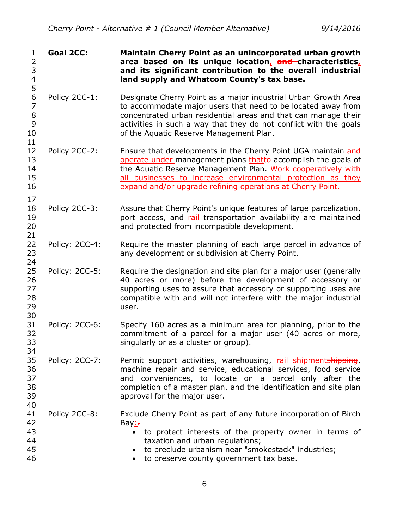| $\mathbf{1}$<br>2<br>3<br>4<br>5<br>6<br>$\overline{7}$<br>8<br>9<br>10<br>11<br>12<br>13<br>14<br>15<br>16                                                                      | <b>Goal 2CC:</b> | Maintain Cherry Point as an unincorporated urban growth<br>area based on its unique location, and characteristics,<br>and its significant contribution to the overall industrial<br>land supply and Whatcom County's tax base.                                                                                              |
|----------------------------------------------------------------------------------------------------------------------------------------------------------------------------------|------------------|-----------------------------------------------------------------------------------------------------------------------------------------------------------------------------------------------------------------------------------------------------------------------------------------------------------------------------|
|                                                                                                                                                                                  | Policy 2CC-1:    | Designate Cherry Point as a major industrial Urban Growth Area<br>to accommodate major users that need to be located away from<br>concentrated urban residential areas and that can manage their<br>activities in such a way that they do not conflict with the goals<br>of the Aquatic Reserve Management Plan.            |
|                                                                                                                                                                                  | Policy 2CC-2:    | Ensure that developments in the Cherry Point UGA maintain and<br>operate under management plans thatto accomplish the goals of<br>the Aquatic Reserve Management Plan. Work cooperatively with<br>all businesses to increase environmental protection as they<br>expand and/or upgrade refining operations at Cherry Point. |
| 17<br>18<br>19<br>20<br>21<br>22<br>23<br>24<br>25<br>26<br>27<br>28<br>29<br>30<br>31<br>32<br>33<br>34<br>35<br>36<br>37<br>38<br>39<br>40<br>41<br>42<br>43<br>44<br>45<br>46 | Policy 2CC-3:    | Assure that Cherry Point's unique features of large parcelization,<br>port access, and rail transportation availability are maintained<br>and protected from incompatible development.                                                                                                                                      |
|                                                                                                                                                                                  | Policy: 2CC-4:   | Require the master planning of each large parcel in advance of<br>any development or subdivision at Cherry Point.                                                                                                                                                                                                           |
|                                                                                                                                                                                  | Policy: 2CC-5:   | Require the designation and site plan for a major user (generally<br>40 acres or more) before the development of accessory or<br>supporting uses to assure that accessory or supporting uses are<br>compatible with and will not interfere with the major industrial<br>user.                                               |
|                                                                                                                                                                                  | Policy: 2CC-6:   | Specify 160 acres as a minimum area for planning, prior to the<br>commitment of a parcel for a major user (40 acres or more,<br>singularly or as a cluster or group).                                                                                                                                                       |
|                                                                                                                                                                                  | Policy: 2CC-7:   | Permit support activities, warehousing, rail shipmentshipping,<br>machine repair and service, educational services, food service<br>and conveniences, to locate on a parcel only after the<br>completion of a master plan, and the identification and site plan<br>approval for the major user.                             |
|                                                                                                                                                                                  | Policy 2CC-8:    | Exclude Cherry Point as part of any future incorporation of Birch<br>Bay:<br>to protect interests of the property owner in terms of<br>$\bullet$<br>taxation and urban regulations;<br>to preclude urbanism near "smokestack" industries;<br>to preserve county government tax base.                                        |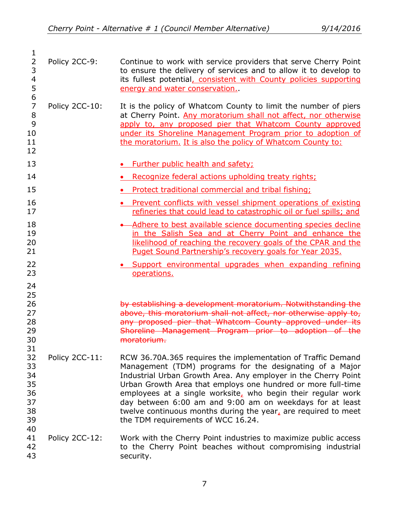| 1<br>$\overline{2}$<br>3<br>4                        | Policy 2CC-9:  | Continue to work with service providers that serve Cherry Point<br>to ensure the delivery of services and to allow it to develop to<br>its fullest potential, consistent with County policies supporting                                                                                                                                                                                                                                                                                       |
|------------------------------------------------------|----------------|------------------------------------------------------------------------------------------------------------------------------------------------------------------------------------------------------------------------------------------------------------------------------------------------------------------------------------------------------------------------------------------------------------------------------------------------------------------------------------------------|
| 5<br>6<br>$\overline{7}$<br>8<br>9<br>10<br>11<br>12 | Policy 2CC-10: | energy and water conservation.<br>It is the policy of Whatcom County to limit the number of piers<br>at Cherry Point. Any moratorium shall not affect, nor otherwise<br>apply to, any proposed pier that Whatcom County approved<br>under its Shoreline Management Program prior to adoption of<br>the moratorium. It is also the policy of Whatcom County to:                                                                                                                                 |
| 13                                                   |                | • Further public health and safety;                                                                                                                                                                                                                                                                                                                                                                                                                                                            |
| 14                                                   |                | • Recognize federal actions upholding treaty rights;                                                                                                                                                                                                                                                                                                                                                                                                                                           |
| 15                                                   |                | • Protect traditional commercial and tribal fishing;                                                                                                                                                                                                                                                                                                                                                                                                                                           |
| 16<br>17                                             |                | • Prevent conflicts with vessel shipment operations of existing<br>refineries that could lead to catastrophic oil or fuel spills; and                                                                                                                                                                                                                                                                                                                                                          |
| 18<br>19<br>20<br>21                                 |                | Adhere to best available science documenting species decline<br>in the Salish Sea and at Cherry Point and enhance the<br>likelihood of reaching the recovery goals of the CPAR and the<br>Puget Sound Partnership's recovery goals for Year 2035.                                                                                                                                                                                                                                              |
| 22<br>23                                             |                | • Support environmental upgrades when expanding refining<br>operations.                                                                                                                                                                                                                                                                                                                                                                                                                        |
| 24<br>25<br>26<br>27<br>28<br>29<br>30<br>31         |                | by establishing a development moratorium. Notwithstanding the<br>above, this moratorium shall not affect, nor otherwise apply to,<br>any proposed pier that Whatcom County approved under its<br>Shoreline Management Program prior to adoption of the<br>moratorium.                                                                                                                                                                                                                          |
| 32<br>33<br>34<br>35<br>36<br>37<br>38<br>39         | Policy 2CC-11: | RCW 36.70A.365 requires the implementation of Traffic Demand<br>Management (TDM) programs for the designating of a Major<br>Industrial Urban Growth Area. Any employer in the Cherry Point<br>Urban Growth Area that employs one hundred or more full-time<br>employees at a single worksite, who begin their regular work<br>day between 6:00 am and 9:00 am on weekdays for at least<br>twelve continuous months during the year, are required to meet<br>the TDM requirements of WCC 16.24. |
| 40<br>41<br>42<br>43                                 | Policy 2CC-12: | Work with the Cherry Point industries to maximize public access<br>to the Cherry Point beaches without compromising industrial<br>security.                                                                                                                                                                                                                                                                                                                                                    |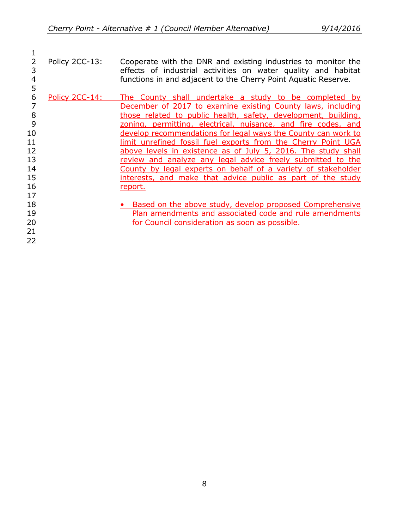21 22

 $\frac{1}{2}$ 2 Policy 2CC-13: Cooperate with the DNR and existing industries to monitor the<br>3 deffects of industrial activities on water quality and habitat 3 effects of industrial activities on water quality and habitat 4 example functions in and adjacent to the Cherry Point Aquatic Reserve. functions in and adjacent to the Cherry Point Aquatic Reserve.

- 5 6 Policy 2CC-14: The County shall undertake a study to be completed by<br>7 December of 2017 to examine existing County laws, including December of 2017 to examine existing County laws, including 8 those related to public health, safety, development, building, 9 zoning, permitting, electrical, nuisance, and fire codes, and 10 develop recommendations for legal ways the County can work to 11 **ighting in limit unrefined fossil fuel exports from the Cherry Point UGA** 12 above levels in existence as of July 5, 2016. The study shall 13 review and analyze any legal advice freely submitted to the 14 County by legal experts on behalf of a variety of stakeholder 15 **interests, and make that advice public as part of the study** 16 report. 17 18 **• Based on the above study, develop proposed Comprehensive**
- 19 **Plan amendments and associated code and rule amendments** 20 *Council consideration as soon as possible.*